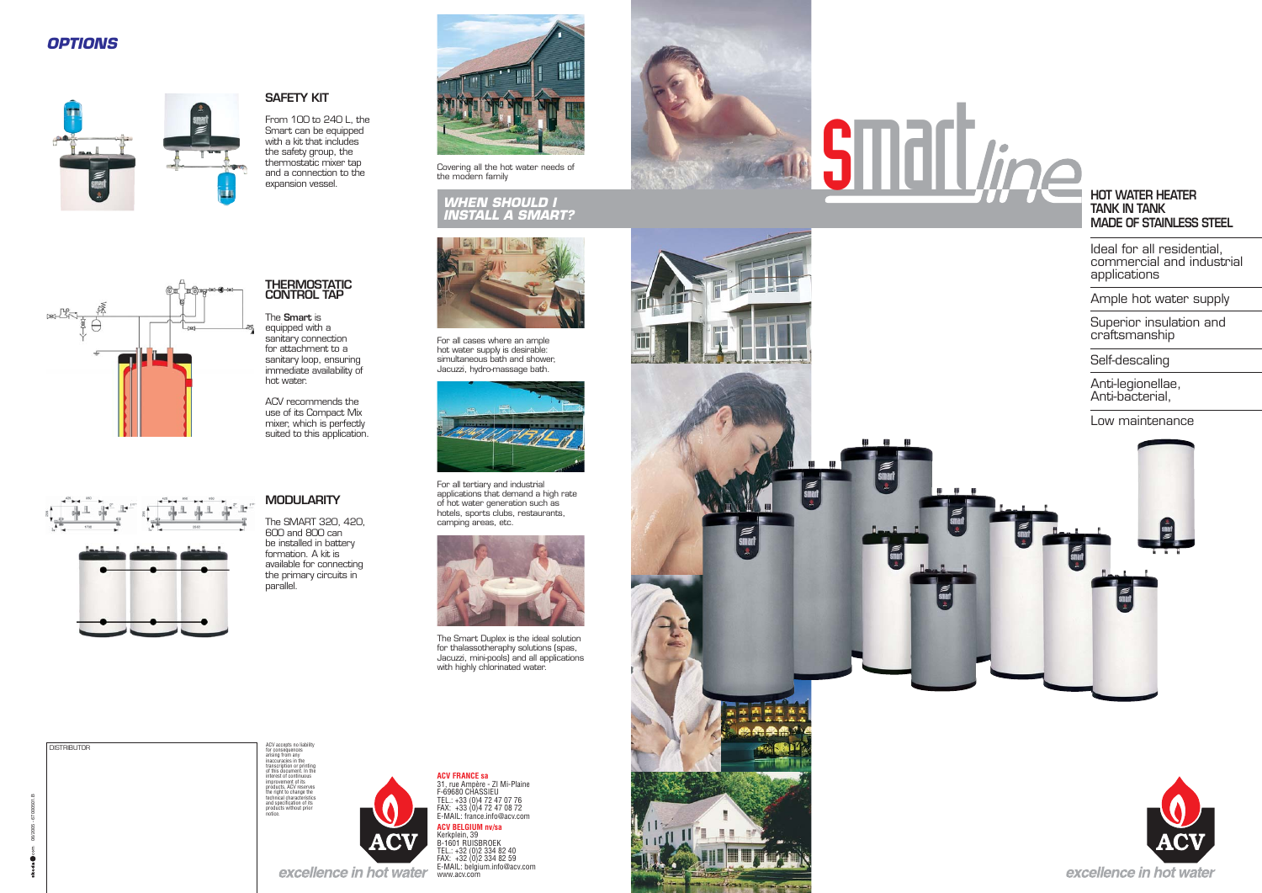### **HOT WATER HEATERTANK IN TANKMADE OF STAINLESS STEEL**

Ideal for all residential, commercial and industrial applications

Superior insulation and craftsmanship

Ample hot water supply



**ACV FRANCE sa**<br>31, rue Ampère - ZI Mi-Plaine<br>F-69680 CHASSIEU<br>TEL.: +33 (0)4 72 47 08 72<br>FAX: +33 (0)4 72 47 08 72<br>E-MAIL: france.info@acv.com **ACV BELGIUM nv/sa** Kerkplein, 39 B-1601 RUISBROEK TEL.: +32 (0)2 334 82 40 FAX: +32 (0)2 334 82 59 E-MAIL: belgium.info@acv.com www.acv.com



The Smart Duplex is the ideal solution for thalassotheraphy solutions (spas, Jacuzzi, mini-pools) and all applications with highly chlorinated water.

ACV accepts no liability for consequences arising from any inaccuracies in the transcription or printing of this document. In the interest of continuous improvement of its products, ACV reserves the right to change the technical characteristics and specifi cation of its products without prior notice.



ACV recommends the use of its Compact Mix mixer, which is perfectly suited to this application.

06/2005 - 67000501.B





Covering all the hot water needs of the modern family



For all cases where an ample hot water supply is desirable: simultaneous bath and shower, Jacuzzi, hydro-massage bath.



### *WHEN SHOULD I INSTALL A SMART?*



医品品品



Self-descaling

Anti-legionellae, Anti-bacterial,

Low maintenance





For all tertiary and industrial applications that demand a high rate of hot water generation such as hotels, sports clubs, restaurants, camping areas, etc.

# **THERMOSTATIC CONTROL TAP**

The **Smart** is equipped with a sanitary connection for attachment to a sanitary loop, ensuring immediate availability of hot water.

### **MODULARITY**

The SMART 320, 420, 600 and 800 can be installed in battery formation. A kit is the primary circuits in parallel.

available for connecting

# **SAFETY KIT**

From 100 to 240 L, the Smart can be equipped with a kit that includes the safety group, the thermostatic mixer tap and a connection to the expansion vessel.